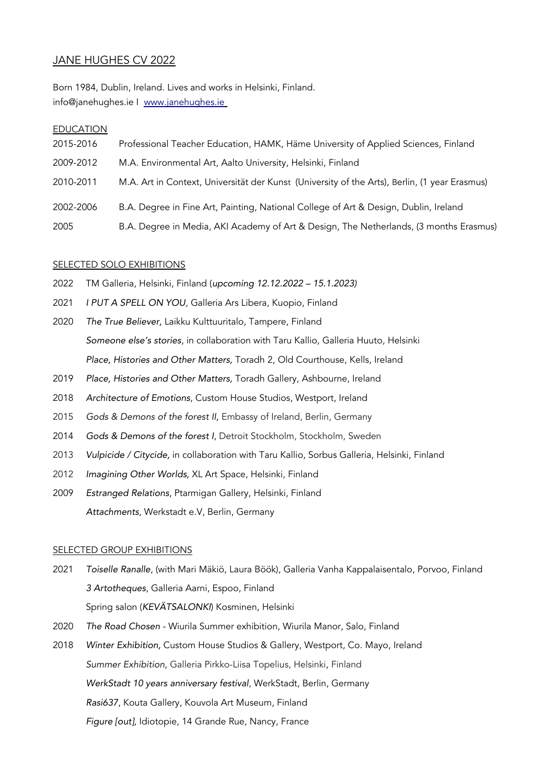# JANE HUGHES CV 2022

Born 1984, Dublin, Ireland. Lives and works in Helsinki, Finland. info@janehughes.ie I [www.janehughes.ie](http://www.janehughes.ie/)

# EDUCATION

| 2015-2016 | Professional Teacher Education, HAMK, Häme University of Applied Sciences, Finland            |
|-----------|-----------------------------------------------------------------------------------------------|
| 2009-2012 | M.A. Environmental Art, Aalto University, Helsinki, Finland                                   |
| 2010-2011 | M.A. Art in Context, Universität der Kunst (University of the Arts), Berlin, (1 year Erasmus) |
| 2002-2006 | B.A. Degree in Fine Art, Painting, National College of Art & Design, Dublin, Ireland          |
| 2005      | B.A. Degree in Media, AKI Academy of Art & Design, The Netherlands, (3 months Erasmus)        |

### SELECTED SOLO EXHIBITIONS

- 2022 TM Galleria, Helsinki, Finland (upcoming 12.12.2022 15.1.2023)
- 2021 I PUT A SPELL ON YOU, Galleria Ars Libera, Kuopio, Finland
- 2020 The True Believer, Laikku Kulttuuritalo, Tampere, Finland Someone else's stories, in collaboration with Taru Kallio, Galleria Huuto, Helsinki Place, Histories and Other Matters, Toradh 2, Old Courthouse, Kells, Ireland
- 2019 Place, Histories and Other Matters, Toradh Gallery, Ashbourne, Ireland
- 2018 Architecture of Emotions, Custom House Studios, Westport, Ireland
- 2015 Gods & Demons of the forest II, Embassy of Ireland, Berlin, Germany
- 2014 Gods & Demons of the forest I, Detroit Stockholm, Stockholm, Sweden
- 2013 Vulpicide / Citycide, in collaboration with Taru Kallio, Sorbus Galleria, Helsinki, Finland
- 2012 Imagining Other Worlds, XL Art Space, Helsinki, Finland
- 2009 Estranged Relations, Ptarmigan Gallery, Helsinki, Finland Attachments, Werkstadt e.V, Berlin, Germany

### SELECTED GROUP EXHIBITIONS

- 2021 Toiselle Ranalle, (with Mari Mäkiö, Laura Böök), Galleria Vanha Kappalaisentalo, Porvoo, Finland 3 Artotheques, Galleria Aarni, Espoo, Finland Spring salon (KEVÄTSALONKI) Kosminen, Helsinki
- 2020 The Road Chosen Wiurila Summer exhibition, Wiurila Manor, Salo, Finland
- 2018 Winter Exhibition, Custom House Studios & Gallery, Westport, Co. Mayo, Ireland Summer Exhibition, Galleria Pirkko-Liisa Topelius, Helsinki, Finland WerkStadt 10 years anniversary festival, WerkStadt, Berlin, Germany Rasi637, Kouta Gallery, Kouvola Art Museum, Finland Figure [out], Idiotopie, 14 Grande Rue, Nancy, France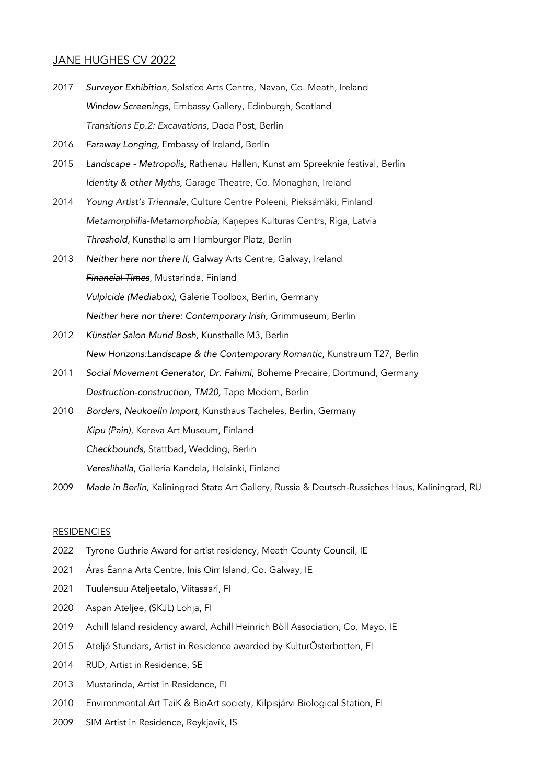# JANE HUGHES CV 2022

- 2017 Surveyor Exhibition, Solstice Arts Centre, Navan, Co. Meath, Ireland Window Screenings, Embassy Gallery, Edinburgh, Scotland Transitions Ep.2: Excavations, Dada Post, Berlin
- 2016 Faraway Longing, Embassy of Ireland, Berlin
- 2015 Landscape Metropolis, Rathenau Hallen, Kunst am Spreeknie festival, Berlin Identity & other Myths, Garage Theatre, Co. Monaghan, Ireland
- 2014 Young Artist's Triennale, Culture Centre Poleeni, Pieksämäki, Finland Metamorphilia-Metamorphobia, Kaņepes Kulturas Centrs, Riga, Latvia Threshold, Kunsthalle am Hamburger Platz, Berlin
- 2013 Neither here nor there II, Galway Arts Centre, Galway, Ireland Financial Times, Mustarinda, Finland Vulpicide (Mediabox), Galerie Toolbox, Berlin, Germany Neither here nor there: Contemporary Irish, Grimmuseum, Berlin
- 2012 Künstler Salon Murid Bosh, Kunsthalle M3, Berlin New Horizons:Landscape & the Contemporary Romantic, Kunstraum T27, Berlin
- 2011 Social Movement Generator, Dr. Fahimi, Boheme Precaire, Dortmund, Germany Destruction-construction, TM20, Tape Modern, Berlin
- 2010 Borders, Neukoelln Import, Kunsthaus Tacheles, Berlin, Germany Kipu (Pain), Kereva Art Museum, Finland Checkbounds, Stattbad, Wedding, Berlin Vereslihalla, Galleria Kandela, Helsinki, Finland
- 2009 Made in Berlin, Kaliningrad State Art Gallery, Russia & Deutsch-Russiches Haus, Kaliningrad, RU

#### **RESIDENCIES**

- 2022 Tyrone Guthrie Award for artist residency, Meath County Council, IE
- 2021 Áras Éanna Arts Centre, Inis Oirr Island, Co. Galway, IE
- 2021 Tuulensuu Ateljeetalo, Viitasaari, FI
- 2020 Aspan Ateljee, (SKJL) Lohja, FI
- 2019 Achill Island residency award, Achill Heinrich Böll Association, Co. Mayo, IE
- 2015 Ateljé Stundars, Artist in Residence awarded by KulturÖsterbotten, FI
- 2014 RUD, Artist in Residence, SE
- 2013 Mustarinda, Artist in Residence, FI
- 2010 Environmental Art TaiK & BioArt society, Kilpisjärvi Biological Station, FI
- 2009 SIM Artist in Residence, Reykjavík, IS